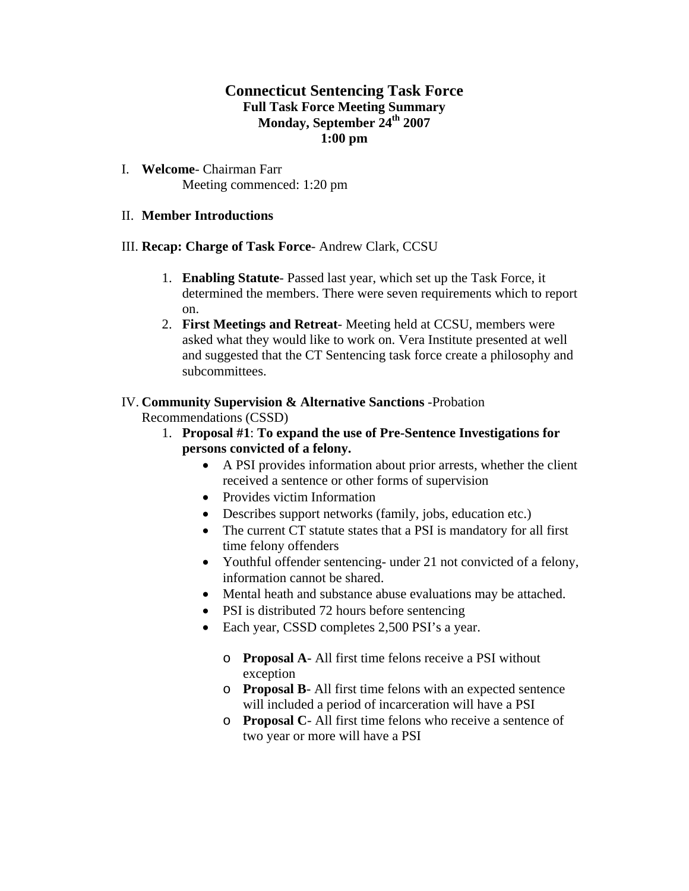# **Connecticut Sentencing Task Force Full Task Force Meeting Summary Monday, September 24th 2007 1:00 pm**

I. **Welcome**- Chairman Farr Meeting commenced: 1:20 pm

#### II. **Member Introductions**

#### III. **Recap: Charge of Task Force**- Andrew Clark, CCSU

- 1. **Enabling Statute** Passed last year, which set up the Task Force, it determined the members. There were seven requirements which to report on.
- 2. **First Meetings and Retreat** Meeting held at CCSU, members were asked what they would like to work on. Vera Institute presented at well and suggested that the CT Sentencing task force create a philosophy and subcommittees.

#### IV. **Community Supervision & Alternative Sanctions** -Probation

Recommendations (CSSD)

- 1. **Proposal #1**: **To expand the use of Pre-Sentence Investigations for persons convicted of a felony.**
	- A PSI provides information about prior arrests, whether the client received a sentence or other forms of supervision
	- Provides victim Information
	- Describes support networks (family, jobs, education etc.)
	- The current CT statute states that a PSI is mandatory for all first time felony offenders
	- Youthful offender sentencing- under 21 not convicted of a felony, information cannot be shared.
	- Mental heath and substance abuse evaluations may be attached.
	- PSI is distributed 72 hours before sentencing
	- Each year, CSSD completes 2,500 PSI's a year.
		- o **Proposal A** All first time felons receive a PSI without exception
		- o **Proposal B** All first time felons with an expected sentence will included a period of incarceration will have a PSI
		- o **Proposal C** All first time felons who receive a sentence of two year or more will have a PSI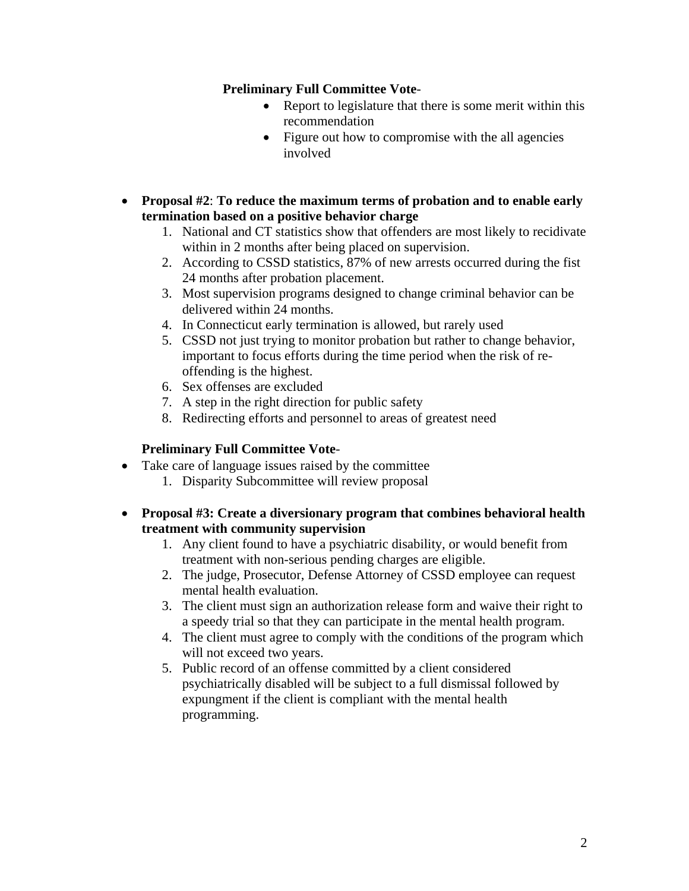## **Preliminary Full Committee Vote**-

- Report to legislature that there is some merit within this recommendation
- Figure out how to compromise with the all agencies involved
- **Proposal #2**: **To reduce the maximum terms of probation and to enable early termination based on a positive behavior charge** 
	- 1. National and CT statistics show that offenders are most likely to recidivate within in 2 months after being placed on supervision.
	- 2. According to CSSD statistics, 87% of new arrests occurred during the fist 24 months after probation placement.
	- 3. Most supervision programs designed to change criminal behavior can be delivered within 24 months.
	- 4. In Connecticut early termination is allowed, but rarely used
	- 5. CSSD not just trying to monitor probation but rather to change behavior, important to focus efforts during the time period when the risk of reoffending is the highest.
	- 6. Sex offenses are excluded
	- 7. A step in the right direction for public safety
	- 8. Redirecting efforts and personnel to areas of greatest need

## **Preliminary Full Committee Vote**-

- Take care of language issues raised by the committee
	- 1. Disparity Subcommittee will review proposal
- **Proposal #3: Create a diversionary program that combines behavioral health treatment with community supervision** 
	- 1. Any client found to have a psychiatric disability, or would benefit from treatment with non-serious pending charges are eligible.
	- 2. The judge, Prosecutor, Defense Attorney of CSSD employee can request mental health evaluation.
	- 3. The client must sign an authorization release form and waive their right to a speedy trial so that they can participate in the mental health program.
	- 4. The client must agree to comply with the conditions of the program which will not exceed two years.
	- 5. Public record of an offense committed by a client considered psychiatrically disabled will be subject to a full dismissal followed by expungment if the client is compliant with the mental health programming.